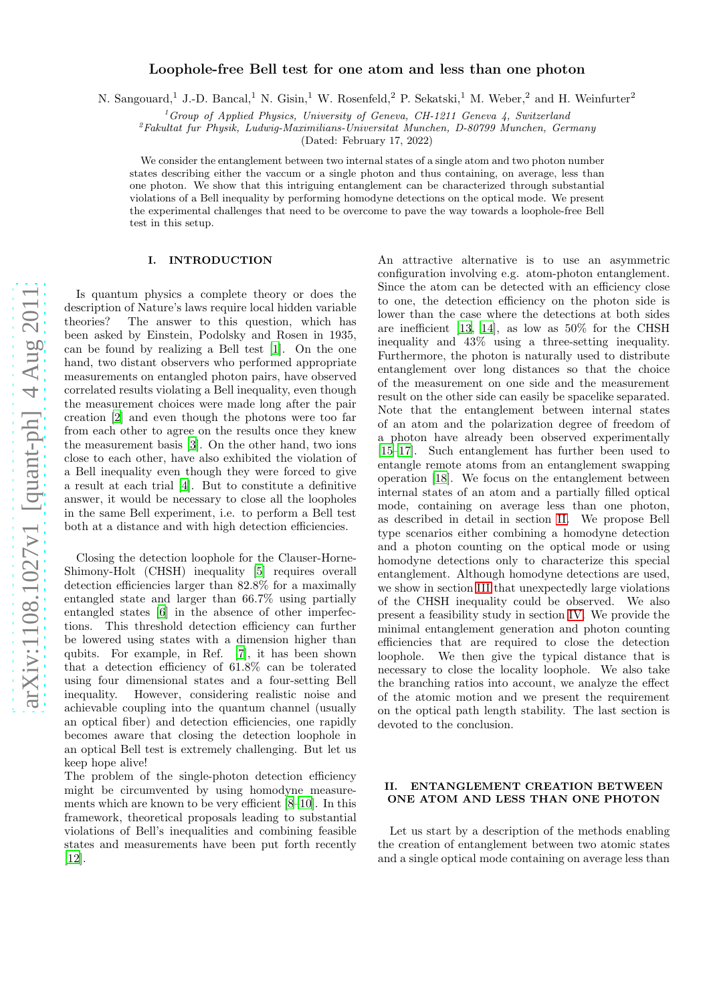# $arXiv:1108.1027v1$  [quant-ph]  $4 \text{ Aug } 2011$ [arXiv:1108.1027v1 \[quant-ph\] 4 Aug 2011](http://arxiv.org/abs/1108.1027v1)

# Loophole-free Bell test for one atom and less than one photon

N. Sangouard,<sup>1</sup> J.-D. Bancal,<sup>1</sup> N. Gisin,<sup>1</sup> W. Rosenfeld,<sup>2</sup> P. Sekatski,<sup>1</sup> M. Weber,<sup>2</sup> and H. Weinfurter<sup>2</sup>

 $1$ <sup>1</sup> Group of Applied Physics, University of Geneva, CH-1211 Geneva 4, Switzerland

 ${}^{2}F$ akultat fur Physik, Ludwig-Maximilians-Universitat Munchen, D-80799 Munchen, Germany

(Dated: February 17, 2022)

We consider the entanglement between two internal states of a single atom and two photon number states describing either the vaccum or a single photon and thus containing, on average, less than one photon. We show that this intriguing entanglement can be characterized through substantial violations of a Bell inequality by performing homodyne detections on the optical mode. We present the experimental challenges that need to be overcome to pave the way towards a loophole-free Bell test in this setup.

# I. INTRODUCTION

Is quantum physics a complete theory or does the description of Nature's laws require local hidden variable theories? The answer to this question, which has been asked by Einstein, Podolsky and Rosen in 1935, can be found by realizing a Bell test [\[1\]](#page-4-0). On the one hand, two distant observers who performed appropriate measurements on entangled photon pairs, have observed correlated results violating a Bell inequality, even though the measurement choices were made long after the pair creation [\[2](#page-4-1)] and even though the photons were too far from each other to agree on the results once they knew the measurement basis [\[3\]](#page-4-2). On the other hand, two ions close to each other, have also exhibited the violation of a Bell inequality even though they were forced to give a result at each trial [\[4\]](#page-4-3). But to constitute a definitive answer, it would be necessary to close all the loopholes in the same Bell experiment, i.e. to perform a Bell test both at a distance and with high detection efficiencies.

Closing the detection loophole for the Clauser-Horne-Shimony-Holt (CHSH) inequality [\[5](#page-4-4)] requires overall detection efficiencies larger than 82.8% for a maximally entangled state and larger than 66.7% using partially entangled states [\[6\]](#page-4-5) in the absence of other imperfections. This threshold detection efficiency can further be lowered using states with a dimension higher than qubits. For example, in Ref. [\[7\]](#page-4-6), it has been shown that a detection efficiency of 61.8% can be tolerated using four dimensional states and a four-setting Bell inequality. However, considering realistic noise and achievable coupling into the quantum channel (usually an optical fiber) and detection efficiencies, one rapidly becomes aware that closing the detection loophole in an optical Bell test is extremely challenging. But let us keep hope alive!

The problem of the single-photon detection efficiency might be circumvented by using homodyne measurements which are known to be very efficient [\[8–](#page-4-7)[10\]](#page-5-0). In this framework, theoretical proposals leading to substantial violations of Bell's inequalities and combining feasible states and measurements have been put forth recently [\[12\]](#page-5-1).

An attractive alternative is to use an asymmetric configuration involving e.g. atom-photon entanglement. Since the atom can be detected with an efficiency close to one, the detection efficiency on the photon side is lower than the case where the detections at both sides are inefficient [\[13,](#page-5-2) [14\]](#page-5-3), as low as 50% for the CHSH inequality and 43% using a three-setting inequality. Furthermore, the photon is naturally used to distribute entanglement over long distances so that the choice of the measurement on one side and the measurement result on the other side can easily be spacelike separated. Note that the entanglement between internal states of an atom and the polarization degree of freedom of a photon have already been observed experimentally [\[15](#page-5-4)[–17\]](#page-5-5). Such entanglement has further been used to entangle remote atoms from an entanglement swapping operation [\[18](#page-5-6)]. We focus on the entanglement between internal states of an atom and a partially filled optical mode, containing on average less than one photon, as described in detail in section [II.](#page-0-0) We propose Bell type scenarios either combining a homodyne detection and a photon counting on the optical mode or using homodyne detections only to characterize this special entanglement. Although homodyne detections are used, we show in section [III](#page-1-0) that unexpectedly large violations of the CHSH inequality could be observed. We also present a feasibility study in section [IV.](#page-2-0) We provide the minimal entanglement generation and photon counting efficiencies that are required to close the detection loophole. We then give the typical distance that is necessary to close the locality loophole. We also take the branching ratios into account, we analyze the effect of the atomic motion and we present the requirement on the optical path length stability. The last section is devoted to the conclusion.

# <span id="page-0-0"></span>II. ENTANGLEMENT CREATION BETWEEN ONE ATOM AND LESS THAN ONE PHOTON

Let us start by a description of the methods enabling the creation of entanglement between two atomic states and a single optical mode containing on average less than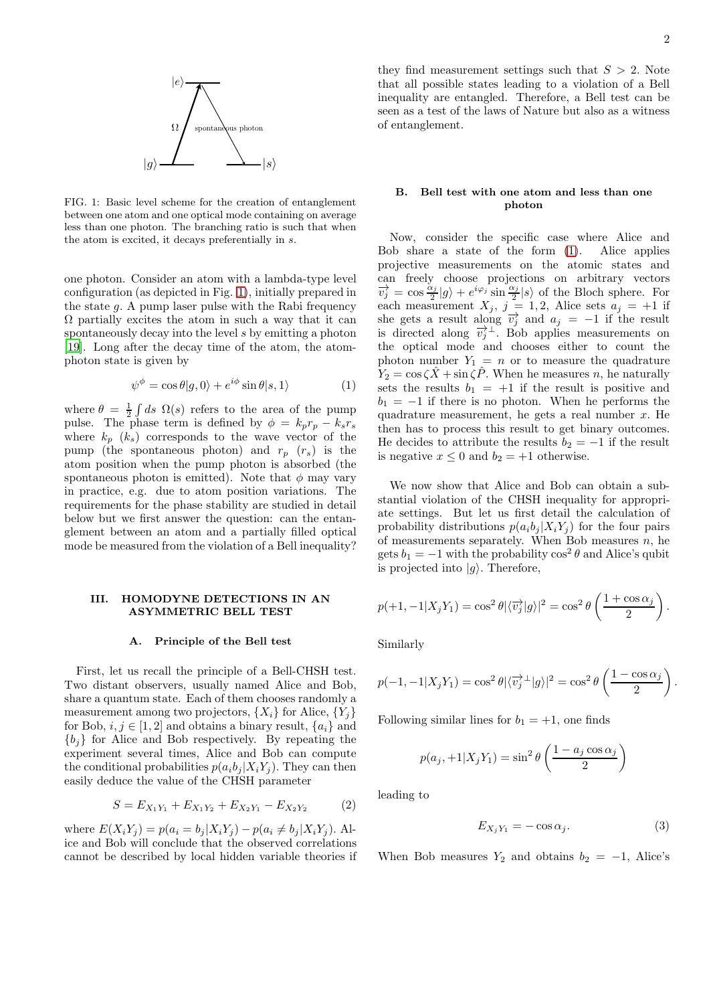

<span id="page-1-1"></span>FIG. 1: Basic level scheme for the creation of entanglement between one atom and one optical mode containing on average less than one photon. The branching ratio is such that when the atom is excited, it decays preferentially in s.

one photon. Consider an atom with a lambda-type level configuration (as depicted in Fig. [1\)](#page-1-1), initially prepared in the state  $g$ . A pump laser pulse with the Rabi frequency  $\Omega$  partially excites the atom in such a way that it can spontaneously decay into the level s by emitting a photon [\[19\]](#page-5-7). Long after the decay time of the atom, the atomphoton state is given by

<span id="page-1-2"></span>
$$
\psi^{\phi} = \cos \theta |g, 0\rangle + e^{i\phi} \sin \theta |s, 1\rangle \tag{1}
$$

where  $\theta = \frac{1}{2} \int ds \Omega(s)$  refers to the area of the pump pulse. The phase term is defined by  $\phi = k_p r_p - k_s r_s$ where  $k_p$  ( $k_s$ ) corresponds to the wave vector of the pump (the spontaneous photon) and  $r_p$  ( $r_s$ ) is the atom position when the pump photon is absorbed (the spontaneous photon is emitted). Note that  $\phi$  may vary in practice, e.g. due to atom position variations. The requirements for the phase stability are studied in detail below but we first answer the question: can the entanglement between an atom and a partially filled optical mode be measured from the violation of a Bell inequality?

## <span id="page-1-0"></span>III. HOMODYNE DETECTIONS IN AN ASYMMETRIC BELL TEST

### A. Principle of the Bell test

First, let us recall the principle of a Bell-CHSH test. Two distant observers, usually named Alice and Bob, share a quantum state. Each of them chooses randomly a measurement among two projectors,  $\{X_i\}$  for Alice,  $\{Y_i\}$ for Bob,  $i, j \in [1, 2]$  and obtains a binary result,  $\{a_i\}$  and  ${b_i}$  for Alice and Bob respectively. By repeating the experiment several times, Alice and Bob can compute the conditional probabilities  $p(a_i b_j | X_i Y_j)$ . They can then easily deduce the value of the CHSH parameter

<span id="page-1-3"></span>
$$
S = E_{X_1 Y_1} + E_{X_1 Y_2} + E_{X_2 Y_1} - E_{X_2 Y_2}
$$
 (2)

where  $E(X_i Y_j) = p(a_i = b_j | X_i Y_j) - p(a_i \neq b_j | X_i Y_j)$ . Alice and Bob will conclude that the observed correlations cannot be described by local hidden variable theories if they find measurement settings such that  $S > 2$ . Note that all possible states leading to a violation of a Bell inequality are entangled. Therefore, a Bell test can be seen as a test of the laws of Nature but also as a witness of entanglement.

### B. Bell test with one atom and less than one photon

Now, consider the specific case where Alice and Bob share a state of the form [\(1\)](#page-1-2). Alice applies projective measurements on the atomic states and can freely choose projections on arbitrary vectors  $\overrightarrow{v_j} = \cos \frac{\alpha_j}{2}$  $\frac{\alpha_j}{2}|g\rangle + e^{i\varphi_j} \sin \frac{\alpha_j}{2}|s\rangle$  of the Bloch sphere. For each measurement  $X_j$ ,  $j = 1, 2$ , Alice sets  $a_j = +1$  if she gets a result along  $\overrightarrow{v_j}$  and  $a_j = -1$  if the result is directed along  $\overrightarrow{v_j}^{\perp}$ . Bob applies measurements on the optical mode and chooses either to count the photon number  $Y_1 = n$  or to measure the quadrature  $Y_2 = \cos \zeta \hat{X} + \sin \zeta \hat{P}$ . When he measures n, he naturally sets the results  $b_1 = +1$  if the result is positive and  $b_1 = -1$  if there is no photon. When he performs the quadrature measurement, he gets a real number  $x$ . He then has to process this result to get binary outcomes. He decides to attribute the results  $b_2 = -1$  if the result is negative  $x \leq 0$  and  $b_2 = +1$  otherwise.

We now show that Alice and Bob can obtain a substantial violation of the CHSH inequality for appropriate settings. But let us first detail the calculation of probability distributions  $p(a_i b_j | X_i Y_j)$  for the four pairs of measurements separately. When Bob measures  $n$ , he gets  $b_1 = -1$  with the probability  $\cos^2 \theta$  and Alice's qubit is projected into  $|q\rangle$ . Therefore,

$$
p(+1,-1|X_jY_1) = \cos^2\theta |\langle \overrightarrow{v_j} | g \rangle|^2 = \cos^2\theta \left(\frac{1+\cos\alpha_j}{2}\right).
$$

Similarly

$$
p(-1, -1|X_jY_1) = \cos^2 \theta |\langle \overrightarrow{v_j}^{\perp} | g \rangle|^2 = \cos^2 \theta \left( \frac{1 - \cos \alpha_j}{2} \right).
$$

Following similar lines for  $b_1 = +1$ , one finds

$$
p(a_j, +1|X_jY_1) = \sin^2\theta \left(\frac{1 - a_j \cos \alpha_j}{2}\right)
$$

leading to

$$
E_{X_j Y_1} = -\cos \alpha_j. \tag{3}
$$

When Bob measures  $Y_2$  and obtains  $b_2 = -1$ , Alice's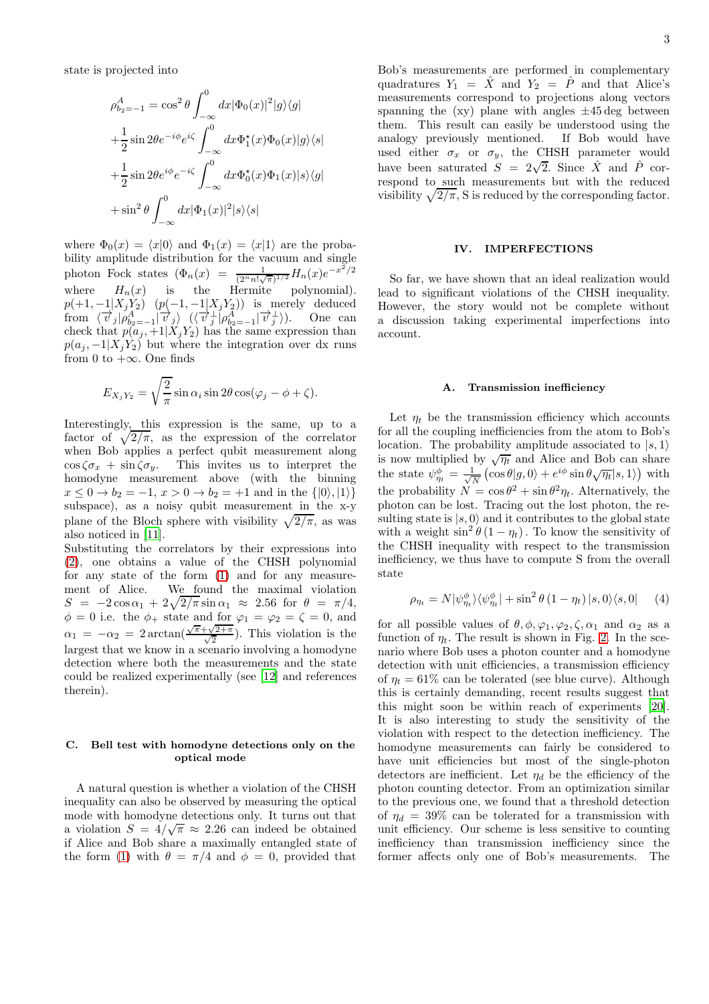state is projected into

$$
\rho_{b_2=-1}^A = \cos^2 \theta \int_{-\infty}^0 dx |\Phi_0(x)|^2 |g\rangle\langle g|
$$
  
+
$$
\frac{1}{2} \sin 2\theta e^{-i\phi} e^{i\zeta} \int_{-\infty}^0 dx \Phi_1^*(x) \Phi_0(x) |g\rangle\langle s|
$$
  
+
$$
\frac{1}{2} \sin 2\theta e^{i\phi} e^{-i\zeta} \int_{-\infty}^0 dx \Phi_0^*(x) \Phi_1(x) |s\rangle\langle g|
$$
  
+
$$
\sin^2 \theta \int_{-\infty}^0 dx |\Phi_1(x)|^2 |s\rangle\langle s|
$$

where  $\Phi_0(x) = \langle x|0\rangle$  and  $\Phi_1(x) = \langle x|1\rangle$  are the probability amplitude distribution for the vacuum and single photon Fock states  $(\Phi_n(x) = \frac{1}{(2^n n! \sqrt{\pi})^{1/2}} H_n(x) e^{-x^2/2})$ where  $H_n(x)$  is the Hermite polynomial).  $p(+1, -1|X_jY_2)$   $(p(-1, -1|X_jY_2))$  is merely deduced from  $\langle \vec{v}_j | \rho_{b_2=-1}^A | \vec{v}_j \rangle$   $(\langle \vec{v}_j^{\perp} | \rho_{b_2=-1}^A | \vec{v}_j^{\perp} \rangle)$ . One can check that  $p(a_j, +1|X_jY_2)$  has the same expression than  $p(a_j, -1|X_jY_2)$  but where the integration over dx runs from 0 to  $+\infty$ . One finds

$$
E_{X_j Y_2} = \sqrt{\frac{2}{\pi}} \sin \alpha_i \sin 2\theta \cos(\varphi_j - \phi + \zeta).
$$

Interestingly, this expression is the same, up to a factor of  $\sqrt{2/\pi}$ , as the expression of the correlator when Bob applies a perfect qubit measurement along  $\cos \zeta \sigma_x$  +  $\sin \zeta \sigma_y$ . This invites us to interpret the homodyne measurement above (with the binning  $x \le 0 \to b_2 = -1, x > 0 \to b_2 = +1$  and in the  $\{|0\rangle, |1\rangle\}$ subspace), as a noisy qubit measurement in the x-y plane of the Bloch sphere with visibility  $\sqrt{2/\pi}$ , as was also noticed in [\[11](#page-5-8)].

Substituting the correlators by their expressions into [\(2\)](#page-1-3), one obtains a value of the CHSH polynomial for any state of the form [\(1\)](#page-1-2) and for any measurement of Alice. We found the maximal violation  $S = -2\cos\alpha_1 + 2\sqrt{2/\pi}\sin\alpha_1 \approx 2.56$  for  $\theta = \pi/4$ ,  $\phi = 0$  i.e. the  $\phi_+$  state and for  $\varphi_1 = \varphi_2 = \zeta = 0$ , and  $\alpha_1 = -\alpha_2 = 2 \arctan(\frac{\sqrt{\pi} + \sqrt{2+\pi}}{\sqrt{2}})$ . This violation is the largest that we know in a scenario involving a homodyne detection where both the measurements and the state could be realized experimentally (see [\[12](#page-5-1)] and references therein).

# C. Bell test with homodyne detections only on the optical mode

A natural question is whether a violation of the CHSH inequality can also be observed by measuring the optical mode with homodyne detections only. It turns out that a violation  $S = 4/\sqrt{\pi} \approx 2.26$  can indeed be obtained if Alice and Bob share a maximally entangled state of the form [\(1\)](#page-1-2) with  $\theta = \pi/4$  and  $\phi = 0$ , provided that

Bob's measurements are performed in complementary quadratures  $Y_1 = \hat{X}$  and  $Y_2 = \hat{P}$  and that Alice's measurements correspond to projections along vectors spanning the  $(xy)$  plane with angles  $\pm 45 \text{ deg}$  between them. This result can easily be understood using the analogy previously mentioned. If Bob would have used either  $\sigma_x$  or  $\sigma_y$ , the CHSH parameter would have been saturated  $S = 2\sqrt{2}$ . Since  $\hat{X}$  and  $\hat{P}$  correspond to such measurements but with the reduced visibility  $\sqrt{2/\pi}$ , S is reduced by the corresponding factor.

### <span id="page-2-0"></span>IV. IMPERFECTIONS

So far, we have shown that an ideal realization would lead to significant violations of the CHSH inequality. However, the story would not be complete without a discussion taking experimental imperfections into account.

### Transmission inefficiency

Let  $\eta_t$  be the transmission efficiency which accounts for all the coupling inefficiencies from the atom to Bob's location. The probability amplitude associated to  $|s, 1\rangle$ is now multiplied by  $\sqrt{\eta_t}$  and Alice and Bob can share the state  $\psi_{\eta_t}^{\phi} = \frac{1}{\sqrt{N}}$  $\frac{1}{N} \left( \cos \theta | g, 0 \right) + e^{i \phi} \sin \theta \sqrt{\eta_t} | s, 1 \rangle$  with the probability  $N = \cos \theta^2 + \sin \theta^2 \eta_t$ . Alternatively, the photon can be lost. Tracing out the lost photon, the resulting state is  $|s, 0\rangle$  and it contributes to the global state with a weight  $\sin^2 \theta (1 - \eta_t)$ . To know the sensitivity of the CHSH inequality with respect to the transmission inefficiency, we thus have to compute S from the overall state

$$
\rho_{\eta_t} = N |\psi_{\eta_t}^{\phi} \rangle \langle \psi_{\eta_t}^{\phi} | + \sin^2 \theta (1 - \eta_t) |s, 0 \rangle \langle s, 0| \quad (4)
$$

for all possible values of  $\theta$ ,  $\phi$ ,  $\varphi$ <sub>1</sub>,  $\varphi$ <sub>2</sub>,  $\zeta$ ,  $\alpha$ <sub>1</sub> and  $\alpha$ <sub>2</sub> as a function of  $\eta_t$ . The result is shown in Fig. [2.](#page-3-0) In the scenario where Bob uses a photon counter and a homodyne detection with unit efficiencies, a transmission efficiency of  $\eta_t = 61\%$  can be tolerated (see blue curve). Although this is certainly demanding, recent results suggest that this might soon be within reach of experiments [\[20\]](#page-5-9). It is also interesting to study the sensitivity of the violation with respect to the detection inefficiency. The homodyne measurements can fairly be considered to have unit efficiencies but most of the single-photon detectors are inefficient. Let  $\eta_d$  be the efficiency of the photon counting detector. From an optimization similar to the previous one, we found that a threshold detection of  $\eta_d = 39\%$  can be tolerated for a transmission with unit efficiency. Our scheme is less sensitive to counting inefficiency than transmission inefficiency since the former affects only one of Bob's measurements. The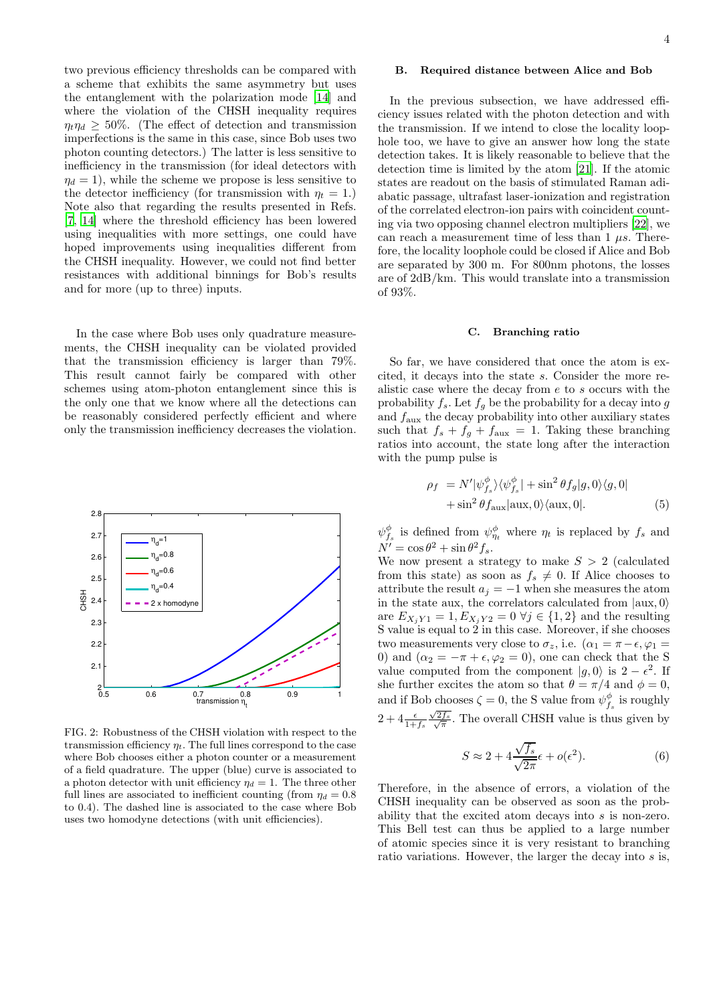two previous efficiency thresholds can be compared with a scheme that exhibits the same asymmetry but uses the entanglement with the polarization mode [\[14\]](#page-5-3) and where the violation of the CHSH inequality requires  $\eta_t \eta_d \geq 50\%$ . (The effect of detection and transmission imperfections is the same in this case, since Bob uses two photon counting detectors.) The latter is less sensitive to inefficiency in the transmission (for ideal detectors with  $\eta_d = 1$ , while the scheme we propose is less sensitive to the detector inefficiency (for transmission with  $\eta_t = 1$ .) Note also that regarding the results presented in Refs. [\[7,](#page-4-6) [14\]](#page-5-3) where the threshold efficiency has been lowered using inequalities with more settings, one could have hoped improvements using inequalities different from the CHSH inequality. However, we could not find better resistances with additional binnings for Bob's results and for more (up to three) inputs.

In the case where Bob uses only quadrature measurements, the CHSH inequality can be violated provided that the transmission efficiency is larger than 79%. This result cannot fairly be compared with other schemes using atom-photon entanglement since this is the only one that we know where all the detections can be reasonably considered perfectly efficient and where only the transmission inefficiency decreases the violation.



<span id="page-3-0"></span>FIG. 2: Robustness of the CHSH violation with respect to the transmission efficiency  $\eta_t$ . The full lines correspond to the case where Bob chooses either a photon counter or a measurement of a field quadrature. The upper (blue) curve is associated to a photon detector with unit efficiency  $\eta_d = 1$ . The three other full lines are associated to inefficient counting (from  $\eta_d = 0.8$ ) to 0.4). The dashed line is associated to the case where Bob uses two homodyne detections (with unit efficiencies).

# B. Required distance between Alice and Bob

In the previous subsection, we have addressed efficiency issues related with the photon detection and with the transmission. If we intend to close the locality loophole too, we have to give an answer how long the state detection takes. It is likely reasonable to believe that the detection time is limited by the atom [\[21\]](#page-5-10). If the atomic states are readout on the basis of stimulated Raman adiabatic passage, ultrafast laser-ionization and registration of the correlated electron-ion pairs with coincident counting via two opposing channel electron multipliers [\[22\]](#page-5-11), we can reach a measurement time of less than 1  $\mu s$ . Therefore, the locality loophole could be closed if Alice and Bob are separated by 300 m. For 800nm photons, the losses are of 2dB/km. This would translate into a transmission of 93%.

# C. Branching ratio

So far, we have considered that once the atom is excited, it decays into the state s. Consider the more realistic case where the decay from  $e$  to  $s$  occurs with the probability  $f_s$ . Let  $f_g$  be the probability for a decay into g and  $f_{\text{aux}}$  the decay probability into other auxiliary states such that  $f_s + f_g + f_{\text{aux}} = 1$ . Taking these branching ratios into account, the state long after the interaction with the pump pulse is

$$
\rho_f = N' |\psi_{f_s}^{\phi}\rangle\langle\psi_{f_s}^{\phi}| + \sin^2 \theta f_g |g, 0\rangle\langle g, 0|
$$
  
 
$$
+ \sin^2 \theta f_{\text{aux}} |\text{aux}, 0\rangle\langle\text{aux}, 0|.
$$
 (5)

 $\psi_{f_s}^{\phi}$  is defined from  $\psi_{\eta_t}^{\phi}$  where  $\eta_t$  is replaced by  $f_s$  and  $N' = \cos \theta^2 + \sin \theta^2 f_s.$ 

We now present a strategy to make  $S > 2$  (calculated from this state) as soon as  $f_s \neq 0$ . If Alice chooses to attribute the result  $a_j = -1$  when she measures the atom in the state aux, the correlators calculated from  $|aux, 0\rangle$ are  $E_{X_jY1} = 1, E_{X_jY2} = 0 \,\forall j \in \{1,2\}$  and the resulting S value is equal to 2 in this case. Moreover, if she chooses two measurements very close to  $\sigma_z$ , i.e.  $(\alpha_1 = \pi - \epsilon, \varphi_1 =$ 0) and  $(\alpha_2 = -\pi + \epsilon, \varphi_2 = 0)$ , one can check that the S value computed from the component  $|g, 0\rangle$  is  $2 - \epsilon^2$ . If she further excites the atom so that  $\theta = \pi/4$  and  $\phi = 0$ , and if Bob chooses  $\zeta = 0$ , the S value from  $\psi_{f_s}^{\phi}$  is roughly  $2+4\frac{\epsilon}{1+f_s}$ √  $\frac{\sqrt{2f_s}}{\sqrt{\pi}}$ . The overall CHSH value is thus given by

$$
S \approx 2 + 4 \frac{\sqrt{f_s}}{\sqrt{2\pi}} \epsilon + o(\epsilon^2). \tag{6}
$$

Therefore, in the absence of errors, a violation of the CHSH inequality can be observed as soon as the probability that the excited atom decays into s is non-zero. This Bell test can thus be applied to a large number of atomic species since it is very resistant to branching ratio variations. However, the larger the decay into s is,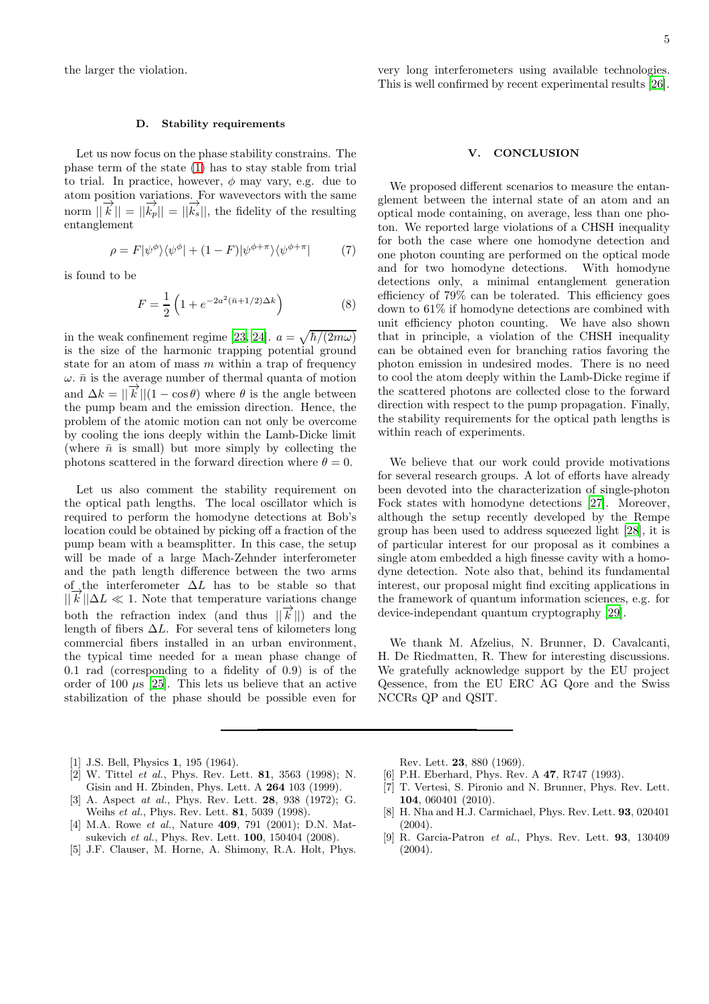the larger the violation.

## D. Stability requirements

Let us now focus on the phase stability constrains. The phase term of the state [\(1\)](#page-1-2) has to stay stable from trial to trial. In practice, however,  $\phi$  may vary, e.g. due to atom position variations. For wavevectors with the same norm  $||\vec{k}|| = ||\vec{k}_p|| = ||\vec{k}_s||$ , the fidelity of the resulting entanglement

$$
\rho = F|\psi^{\phi}\rangle\langle\psi^{\phi}| + (1 - F)|\psi^{\phi + \pi}\rangle\langle\psi^{\phi + \pi}| \tag{7}
$$

is found to be

$$
F = \frac{1}{2} \left( 1 + e^{-2a^2(\bar{n} + 1/2)\Delta k} \right) \tag{8}
$$

in the weak confinement regime [\[23](#page-5-12), [24\]](#page-5-13).  $a = \sqrt{\hbar/(2m\omega)}$ is the size of the harmonic trapping potential ground state for an atom of mass  $m$  within a trap of frequency  $\omega$ .  $\bar{n}$  is the average number of thermal quanta of motion and  $\Delta k = ||\vec{k}||(1 - \cos \theta)$  where  $\theta$  is the angle between the pump beam and the emission direction. Hence, the problem of the atomic motion can not only be overcome by cooling the ions deeply within the Lamb-Dicke limit (where  $\bar{n}$  is small) but more simply by collecting the photons scattered in the forward direction where  $\theta = 0$ .

Let us also comment the stability requirement on the optical path lengths. The local oscillator which is required to perform the homodyne detections at Bob's location could be obtained by picking off a fraction of the pump beam with a beamsplitter. In this case, the setup will be made of a large Mach-Zehnder interferometer and the path length difference between the two arms of the interferometer  $\Delta L$  has to be stable so that  $||k||\Delta L \ll 1$ . Note that temperature variations change both the refraction index (and thus  $||\vec{k}||$ ) and the length of fibers  $\Delta L$ . For several tens of kilometers long commercial fibers installed in an urban environment, the typical time needed for a mean phase change of 0.1 rad (corresponding to a fidelity of 0.9) is of the order of 100  $\mu$ s [\[25\]](#page-5-14). This lets us believe that an active stabilization of the phase should be possible even for

### V. CONCLUSION

We proposed different scenarios to measure the entanglement between the internal state of an atom and an optical mode containing, on average, less than one photon. We reported large violations of a CHSH inequality for both the case where one homodyne detection and one photon counting are performed on the optical mode and for two homodyne detections. With homodyne detections only, a minimal entanglement generation efficiency of 79% can be tolerated. This efficiency goes down to 61% if homodyne detections are combined with unit efficiency photon counting. We have also shown that in principle, a violation of the CHSH inequality can be obtained even for branching ratios favoring the photon emission in undesired modes. There is no need to cool the atom deeply within the Lamb-Dicke regime if the scattered photons are collected close to the forward direction with respect to the pump propagation. Finally, the stability requirements for the optical path lengths is within reach of experiments.

We believe that our work could provide motivations for several research groups. A lot of efforts have already been devoted into the characterization of single-photon Fock states with homodyne detections [\[27\]](#page-5-16). Moreover, although the setup recently developed by the Rempe group has been used to address squeezed light [\[28](#page-5-17)], it is of particular interest for our proposal as it combines a single atom embedded a high finesse cavity with a homodyne detection. Note also that, behind its fundamental interest, our proposal might find exciting applications in the framework of quantum information sciences, e.g. for device-independant quantum cryptography [\[29](#page-5-18)].

We thank M. Afzelius, N. Brunner, D. Cavalcanti, H. De Riedmatten, R. Thew for interesting discussions. We gratefully acknowledge support by the EU project Qessence, from the EU ERC AG Qore and the Swiss NCCRs QP and QSIT.

- <span id="page-4-0"></span>[1] J.S. Bell, Physics **1**, 195 (1964).
- <span id="page-4-1"></span>[2] W. Tittel et al., Phys. Rev. Lett. 81, 3563 (1998); N. Gisin and H. Zbinden, Phys. Lett. A 264 103 (1999).
- <span id="page-4-2"></span>[3] A. Aspect *at al.*, Phys. Rev. Lett. **28**, 938 (1972); G. Weihs et al., Phys. Rev. Lett. 81, 5039 (1998).
- <span id="page-4-3"></span>[4] M.A. Rowe et al., Nature **409**, 791 (2001); D.N. Matsukevich et al., Phys. Rev. Lett. 100, 150404 (2008).
- <span id="page-4-4"></span>[5] J.F. Clauser, M. Horne, A. Shimony, R.A. Holt, Phys.

Rev. Lett. 23, 880 (1969).

- <span id="page-4-5"></span>[6] P.H. Eberhard, Phys. Rev. A 47, R747 (1993).
- <span id="page-4-6"></span>[7] T. Vertesi, S. Pironio and N. Brunner, Phys. Rev. Lett. 104, 060401 (2010).
- <span id="page-4-7"></span>[8] H. Nha and H.J. Carmichael, Phys. Rev. Lett. 93, 020401 (2004).
- [9] R. Garcia-Patron et al., Phys. Rev. Lett. 93, 130409 (2004).